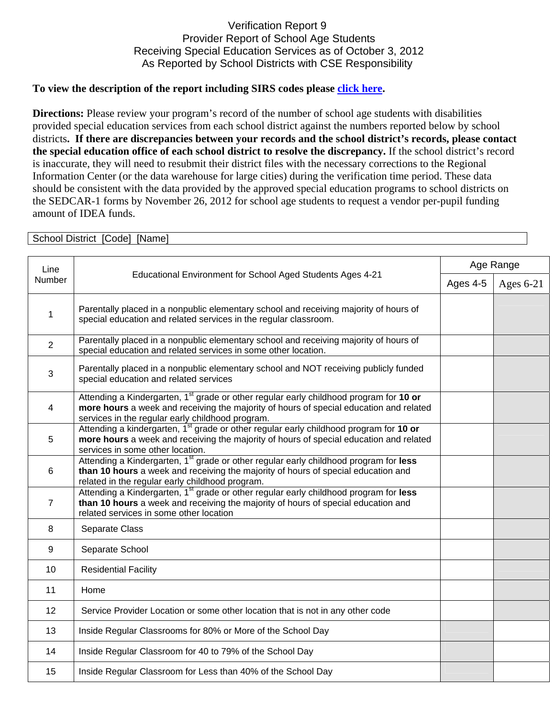## Verification Report 9 Provider Report of School Age Students Receiving Special Education Services as of October 3, 2012 As Reported by School Districts with CSE Responsibility

## **To view the description of the report including SIRS codes please click here.**

**Directions:** Please review your program's record of the number of school age students with disabilities provided special education services from each school district against the numbers reported below by school districts**. If there are discrepancies between your records and the school district's records, please contact the special education office of each school district to resolve the discrepancy.** If the school district's record is inaccurate, they will need to resubmit their district files with the necessary corrections to the Regional Information Center (or the data warehouse for large cities) during the verification time period. These data should be consistent with the data provided by the approved special education programs to school districts on the SEDCAR-1 forms by November 26, 2012 for school age students to request a vendor per-pupil funding amount of IDEA funds.

| School District [Code] [Name] |                                                                                                                                                                                                                                                  |           |             |  |  |
|-------------------------------|--------------------------------------------------------------------------------------------------------------------------------------------------------------------------------------------------------------------------------------------------|-----------|-------------|--|--|
| Line<br>Number                | Educational Environment for School Aged Students Ages 4-21                                                                                                                                                                                       | Age Range |             |  |  |
|                               |                                                                                                                                                                                                                                                  | Ages 4-5  | Ages $6-21$ |  |  |
| $\mathbf{1}$                  | Parentally placed in a nonpublic elementary school and receiving majority of hours of<br>special education and related services in the regular classroom.                                                                                        |           |             |  |  |
| $\overline{2}$                | Parentally placed in a nonpublic elementary school and receiving majority of hours of<br>special education and related services in some other location.                                                                                          |           |             |  |  |
| $\sqrt{3}$                    | Parentally placed in a nonpublic elementary school and NOT receiving publicly funded<br>special education and related services                                                                                                                   |           |             |  |  |
| $\overline{4}$                | Attending a Kindergarten, 1 <sup>st</sup> grade or other regular early childhood program for 10 or<br>more hours a week and receiving the majority of hours of special education and related<br>services in the regular early childhood program. |           |             |  |  |
| 5                             | Attending a kindergarten, 1 <sup>st</sup> grade or other regular early childhood program for 10 or<br>more hours a week and receiving the majority of hours of special education and related<br>services in some other location.                 |           |             |  |  |
| 6                             | Attending a Kindergarten, 1 <sup>st</sup> grade or other regular early childhood program for less<br>than 10 hours a week and receiving the majority of hours of special education and<br>related in the regular early childhood program.        |           |             |  |  |
| $\overline{7}$                | Attending a Kindergarten, 1 <sup>st</sup> grade or other regular early childhood program for less<br>than 10 hours a week and receiving the majority of hours of special education and<br>related services in some other location                |           |             |  |  |
| 8                             | Separate Class                                                                                                                                                                                                                                   |           |             |  |  |
| $\boldsymbol{9}$              | Separate School                                                                                                                                                                                                                                  |           |             |  |  |
| 10                            | <b>Residential Facility</b>                                                                                                                                                                                                                      |           |             |  |  |
| 11                            | Home                                                                                                                                                                                                                                             |           |             |  |  |
| 12                            | Service Provider Location or some other location that is not in any other code                                                                                                                                                                   |           |             |  |  |
| 13                            | Inside Regular Classrooms for 80% or More of the School Day                                                                                                                                                                                      |           |             |  |  |
| 14                            | Inside Regular Classroom for 40 to 79% of the School Day                                                                                                                                                                                         |           |             |  |  |
| 15                            | Inside Regular Classroom for Less than 40% of the School Day                                                                                                                                                                                     |           |             |  |  |